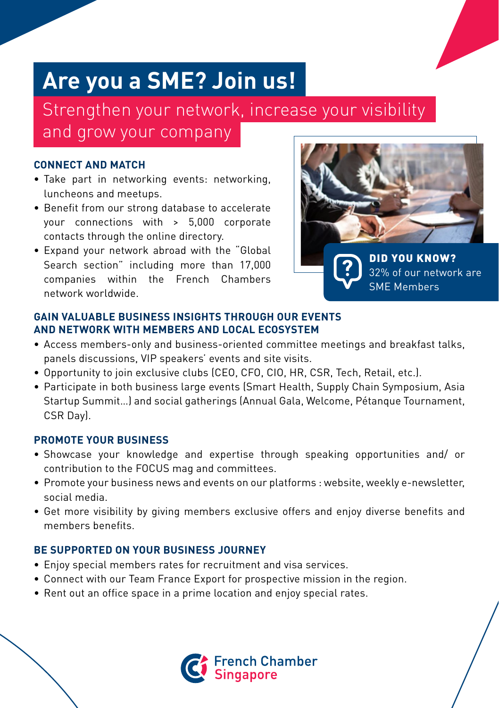# **Are you a SME? Join us!**

Strengthen your network, increase your visibility and grow your company

#### **CONNECT AND MATCH**

- Take part in networking events: networking, luncheons and meetups.
- Benefit from our strong database to accelerate your connections with > 5,000 corporate contacts through the online directory.
- Expand your network abroad with the "Global Search section" including more than 17,000 companies within the French Chambers network worldwide.



DID YOU KNOW? 32% of our network are

SME Members

**GAIN VALUABLE BUSINESS INSIGHTS THROUGH OUR EVENTS AND NETWORK WITH MEMBERS AND LOCAL ECOSYSTEM**

- Access members-only and business-oriented committee meetings and breakfast talks, panels discussions, VIP speakers' events and site visits.
- Opportunity to join exclusive clubs (CEO, CFO, CIO, HR, CSR, Tech, Retail, etc.).
- Participate in both business large events (Smart Health, Supply Chain Symposium, Asia Startup Summit…) and social gatherings (Annual Gala, Welcome, Pétanque Tournament, CSR Day).

#### **PROMOTE YOUR BUSINESS**

- Showcase your knowledge and expertise through speaking opportunities and/ or contribution to the FOCUS mag and committees.
- Promote your business news and events on our platforms : website, weekly e-newsletter, social media.
- Get more visibility by giving members exclusive offers and enjoy diverse benefits and members benefits.

## **BE SUPPORTED ON YOUR BUSINESS JOURNEY**

- Enjoy special members rates for recruitment and visa services.
- Connect with our Team France Export for prospective mission in the region.
- Rent out an office space in a prime location and enjoy special rates.